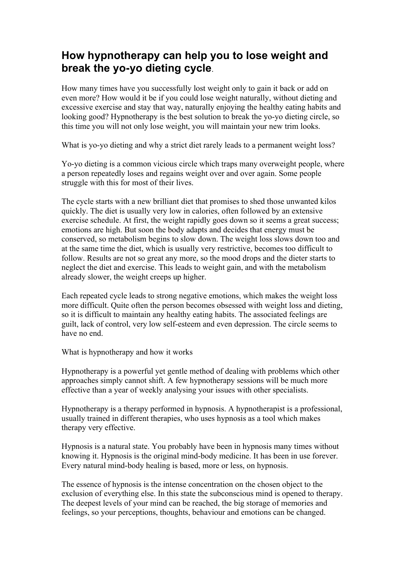## **How hypnotherapy can help you to lose weight and break the yo-yo dieting cycle**.

How many times have you successfully lost weight only to gain it back or add on even more? How would it be if you could lose weight naturally, without dieting and excessive exercise and stay that way, naturally enjoying the healthy eating habits and looking good? Hypnotherapy is the best solution to break the yo-yo dieting circle, so this time you will not only lose weight, you will maintain your new trim looks.

What is yo-yo dieting and why a strict diet rarely leads to a permanent weight loss?

Yo-yo dieting is a common vicious circle which traps many overweight people, where a person repeatedly loses and regains weight over and over again. Some people struggle with this for most of their lives.

The cycle starts with a new brilliant diet that promises to shed those unwanted kilos quickly. The diet is usually very low in calories, often followed by an extensive exercise schedule. At first, the weight rapidly goes down so it seems a great success; emotions are high. But soon the body adapts and decides that energy must be conserved, so metabolism begins to slow down. The weight loss slows down too and at the same time the diet, which is usually very restrictive, becomes too difficult to follow. Results are not so great any more, so the mood drops and the dieter starts to neglect the diet and exercise. This leads to weight gain, and with the metabolism already slower, the weight creeps up higher.

Each repeated cycle leads to strong negative emotions, which makes the weight loss more difficult. Quite often the person becomes obsessed with weight loss and dieting, so it is difficult to maintain any healthy eating habits. The associated feelings are guilt, lack of control, very low self-esteem and even depression. The circle seems to have no end.

What is hypnotherapy and how it works

Hypnotherapy is a powerful yet gentle method of dealing with problems which other approaches simply cannot shift. A few hypnotherapy sessions will be much more effective than a year of weekly analysing your issues with other specialists.

Hypnotherapy is a therapy performed in hypnosis. A hypnotherapist is a professional, usually trained in different therapies, who uses hypnosis as a tool which makes therapy very effective.

Hypnosis is a natural state. You probably have been in hypnosis many times without knowing it. Hypnosis is the original mind-body medicine. It has been in use forever. Every natural mind-body healing is based, more or less, on hypnosis.

The essence of hypnosis is the intense concentration on the chosen object to the exclusion of everything else. In this state the subconscious mind is opened to therapy. The deepest levels of your mind can be reached, the big storage of memories and feelings, so your perceptions, thoughts, behaviour and emotions can be changed.